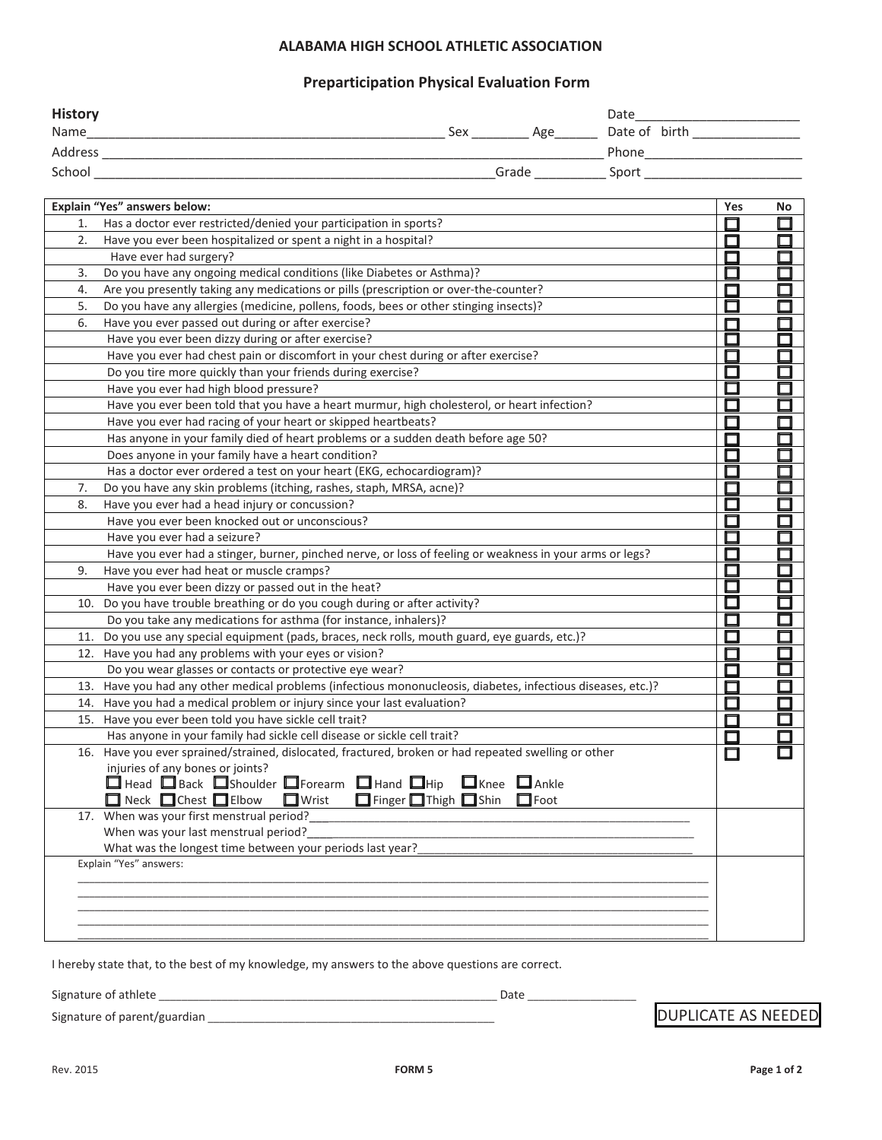### **ALABAMA HIGH SCHOOL ATHLETIC ASSOCIATION**

## **Preparticipation Physical Evaluation Form**

| <b>History</b><br>Name | Sex | Age   | Date<br>Date of birth |
|------------------------|-----|-------|-----------------------|
| Address                |     |       | Phone                 |
| School                 |     | Grade | Sport                 |

|     | Explain "Yes" answers below:                                                                             | Yes | No |
|-----|----------------------------------------------------------------------------------------------------------|-----|----|
| 1.  | Has a doctor ever restricted/denied your participation in sports?                                        |     |    |
| 2.  | Have you ever been hospitalized or spent a night in a hospital?                                          |     |    |
|     | Have ever had surgery?                                                                                   |     |    |
| 3.  | Do you have any ongoing medical conditions (like Diabetes or Asthma)?                                    |     |    |
| 4.  | Are you presently taking any medications or pills (prescription or over-the-counter?                     |     |    |
| 5.  | Do you have any allergies (medicine, pollens, foods, bees or other stinging insects)?                    |     | ⊓  |
| 6.  | Have you ever passed out during or after exercise?                                                       |     |    |
|     | Have you ever been dizzy during or after exercise?                                                       |     |    |
|     | Have you ever had chest pain or discomfort in your chest during or after exercise?                       |     |    |
|     | Do you tire more quickly than your friends during exercise?                                              |     |    |
|     | Have you ever had high blood pressure?                                                                   |     |    |
|     | Have you ever been told that you have a heart murmur, high cholesterol, or heart infection?              |     |    |
|     | Have you ever had racing of your heart or skipped heartbeats?                                            |     |    |
|     | Has anyone in your family died of heart problems or a sudden death before age 50?                        |     |    |
|     | Does anyone in your family have a heart condition?                                                       |     |    |
|     | Has a doctor ever ordered a test on your heart (EKG, echocardiogram)?                                    |     | ┍  |
| 7.  | Do you have any skin problems (itching, rashes, staph, MRSA, acne)?                                      |     |    |
| 8.  | Have you ever had a head injury or concussion?                                                           |     |    |
|     | Have you ever been knocked out or unconscious?                                                           |     |    |
|     | Have you ever had a seizure?                                                                             |     |    |
|     | Have you ever had a stinger, burner, pinched nerve, or loss of feeling or weakness in your arms or legs? |     |    |
| 9.  | Have you ever had heat or muscle cramps?                                                                 |     |    |
|     | Have you ever been dizzy or passed out in the heat?                                                      |     |    |
| 10. | Do you have trouble breathing or do you cough during or after activity?                                  |     |    |
|     | Do you take any medications for asthma (for instance, inhalers)?                                         |     |    |
| 11. | Do you use any special equipment (pads, braces, neck rolls, mouth guard, eye guards, etc.)?              |     |    |
|     | 12. Have you had any problems with your eyes or vision?                                                  |     |    |
|     | Do you wear glasses or contacts or protective eye wear?                                                  |     |    |
| 13. | Have you had any other medical problems (infectious mononucleosis, diabetes, infectious diseases, etc.)? |     |    |
|     | 14. Have you had a medical problem or injury since your last evaluation?                                 |     |    |
| 15. | Have you ever been told you have sickle cell trait?                                                      |     |    |
|     | Has anyone in your family had sickle cell disease or sickle cell trait?                                  | ┍   |    |
|     | 16. Have you ever sprained/strained, dislocated, fractured, broken or had repeated swelling or other     |     |    |
|     | injuries of any bones or joints?                                                                         |     |    |
|     | $\Box$ Head $\Box$ Back $\Box$ Shoulder $\Box$ Forearm $\Box$ Hand $\Box$ Hip $\Box$ Knee $\Box$ Ankle   |     |    |
|     | Finger Thigh Shin Foot<br>$\Box$ Neck $\Box$ Chest $\Box$ Elbow<br>$\Box$ Wrist                          |     |    |
|     | 17. When was your first menstrual period?                                                                |     |    |
|     | When was your last menstrual period?                                                                     |     |    |
|     | What was the longest time between your periods last year?<br>Explain "Yes" answers:                      |     |    |
|     |                                                                                                          |     |    |
|     |                                                                                                          |     |    |
|     |                                                                                                          |     |    |
|     |                                                                                                          |     |    |
|     |                                                                                                          |     |    |

I hereby state that, to the best of my knowledge, my answers to the above questions are correct.

Signature of athlete \_\_\_\_\_\_\_\_\_\_\_\_\_\_\_\_\_\_\_\_\_\_\_\_\_\_\_\_\_\_\_\_\_\_\_\_\_\_\_\_\_\_\_\_\_\_\_\_\_\_\_\_\_\_\_\_\_\_\_ Date \_\_\_\_\_\_\_\_\_\_\_\_\_\_\_\_\_\_\_

Signature of parent/guardian \_\_\_\_\_\_\_\_\_\_\_\_\_\_\_\_\_\_\_\_\_\_\_\_\_\_\_\_\_\_\_\_\_\_\_\_\_\_\_\_\_\_\_\_\_\_\_\_\_\_ DUPLICATE AS NEEDED